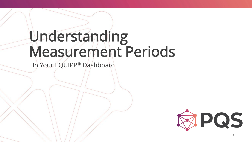## Understanding Measurement Periods

In Your EQUIPP® Dashboard

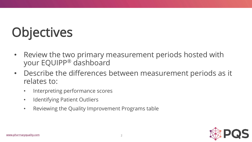# **Objectives**

- Review the two primary measurement periods hosted with your EQUIPP® dashboard
- Describe the differences between measurement periods as it relates to:
	- Interpreting performance scores
	- Identifying Patient Outliers
	- Reviewing the Quality Improvement Programs table

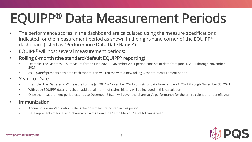### EQUIPP® Data Measurement Periods

- The performance scores in the dashboard are calculated using the measure specifications indicated for the measurement period as shown in the right-hand corner of the EQUIPP® dashboard (listed as "Performance Data Date Range").
- EQUIPP® will host several measurement periods:
- Rolling 6-month (the standard/default EQUIPP® reporting)
	- Example: The Diabetes PDC measure for the June 2021 November 2021 period consists of data from June 1, 2021 through November 30, 2021
	- As EQUIPP® presents new data each month, this will refresh with a new rolling 6-month measurement period
- Year–To–Date
	- Example: The Diabetes PDC measure for the Jan 2021 November 2021 consists of data from January 1, 2021 through November 30, 2021
	- With each EQUIPP® data refresh, an additional month of claims history will be included in this calculation
	- Once the measurement period extends to December 31st, it will cover the pharmacy's performance for the entire calendar or benefit year
- **Immunization** 
	- Annual Influenza Vaccination Rate is the only measure hosted in this period.
	- Data represents medical and pharmacy claims from June 1st to March 31st of following year.

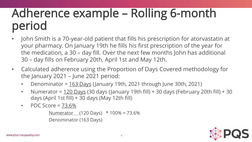#### Adherence example – Rolling 6-month period

- John Smith is a 70-year-old patient that fills his prescription for atorvastatin at your pharmacy. On January 19th he fills his first prescription of the year for the medication, a 30 – day fill. Over the next few months John has additional 30 – day fills on February 20th, April 1st and May 12th.
- Calculated adherence using the Proportion of Days Covered methodology for the January 2021 – June 2021 period:
	- Denominator =  $163$  Days (January 19th, 2021 through June 30th, 2021)
	- Numerator =  $120$  Days (30 days (January 19th fill) + 30 days (February 20th fill) + 30 days (April 1st fill) + 30 days (May 12th fill)
	- PDC Score  $= 73.6\%$

Numerator (120 Days) \* 100% = 73.6% Denominator (163 Days)

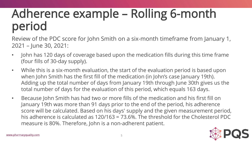### Adherence example – Rolling 6-month period

Review of the PDC score for John Smith on a six-month timeframe from January 1, 2021 – June 30, 2021:

- John has 120 days of coverage based upon the medication fills during this time frame (four fills of 30-day supply).
- While this is a six-month evaluation, the start of the evaluation period is based upon when John Smith has the first fill of the medication (in John's case January 19th). Adding up the total number of days from January 19th through June 30th gives us the total number of days for the evaluation of this period, which equals 163 days.
- Because John Smith has had two or more fills of the medication and his first fill on January 19th was more than 91 days prior to the end of the period, his adherence score will be calculated. Based on his days' supply and the given measurement period, his adherence is calculated as 120/163 = 73.6%. The threshold for the Cholesterol PDC measure is 80%. Therefore, John is a non-adherent patient.

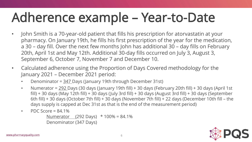### Adherence example – Year-to-Date

- John Smith is a 70-year-old patient that fills his prescription for atorvastatin at your pharmacy. On January 19th, he fills his first prescription of the year for the medication, a 30 – day fill. Over the next few months John has additional 30 – day fills on February 20th, April 1st and May 12th. Additional 30-day fills occurred on July 3, August 3, September 6, October 7, November 7 and December 10.
- Calculated adherence using the Proportion of Days Covered methodology for the January 2021 – December 2021 period:
	- Denominator = 347 Days (January 19th through December 31st)
	- Numerator =  $\frac{292}{15}$  Days (30 days (January 19th fill) + 30 days (February 20th fill) + 30 days (April 1st fill) + 30 days (May 12th fill) + 30 days (July 3rd fill) + 30 days (August 3rd fill) + 30 days (September 6th fill) + 30 days (October 7th fill) + 30 days (November 7th fill) + 22 days (December 10th fill – the days supply is capped at Dec 31st as that is the end of the measurement period)
	- PDC Score =  $84.1\%$

Numerator (292 Days) \* 100% = 84.1% Denominator (347 Days)

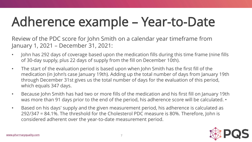## Adherence example – Year-to-Date

Review of the PDC score for John Smith on a calendar year timeframe from January 1, 2021 – December 31, 2021:

- John has 292 days of coverage based upon the medication fills during this time frame (nine fills of 30-day supply, plus 22 days of supply from the fill on December 10th).
- The start of the evaluation period is based upon when John Smith has the first fill of the medication (in John's case January 19th). Adding up the total number of days from January 19th through December 31st gives us the total number of days for the evaluation of this period, which equals 347 days.
- Because John Smith has had two or more fills of the medication and his first fill on January 19th was more than 91 days prior to the end of the period, his adherence score will be calculated. •
- Based on his days' supply and the given measurement period, his adherence is calculated as 292/347 = 84.1%. The threshold for the Cholesterol PDC measure is 80%. Therefore, John is considered adherent over the year-to-date measurement period.

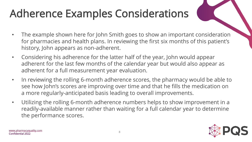### Adherence Examples Considerations

- The example shown here for John Smith goes to show an important consideration for pharmacies and health plans. In reviewing the first six months of this patient's history, John appears as non-adherent.
- Considering his adherence for the latter half of the year, John would appear adherent for the last few months of the calendar year but would also appear as adherent for a full measurement year evaluation.
- In reviewing the rolling 6-month adherence scores, the pharmacy would be able to see how John's scores are improving over time and that he fills the medication on a more regularly-anticipated basis leading to overall improvements.
- Utilizing the rolling 6-month adherence numbers helps to show improvement in a readily-available manner rather than waiting for a full calendar year to determine the performance scores.

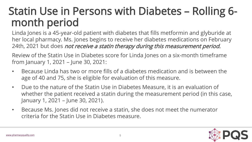#### Statin Use in Persons with Diabetes – Rolling 6 month period

Linda Jones is a 45-year-old patient with diabetes that fills metformin and glyburide at her local pharmacy. Ms. Jones begins to receive her diabetes medications on February 24th, 2021 but does not receive a statin therapy during this measurement period.

Review of the Statin Use in Diabetes score for Linda Jones on a six-month timeframe from January 1, 2021 – June 30, 2021:

- Because Linda has two or more fills of a diabetes medication and is between the age of 40 and 75, she is eligible for evaluation of this measure.
- Due to the nature of the Statin Use in Diabetes Measure, it is an evaluation of whether the patient received a statin during the measurement period (in this case, January 1, 2021 – June 30, 2021).
- Because Ms. Jones did not receive a statin, she does not meet the numerator criteria for the Statin Use in Diabetes measure.

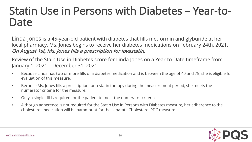#### Statin Use in Persons with Diabetes – Year-to-Date

Linda Jones is a 45-year-old patient with diabetes that fills metformin and glyburide at her local pharmacy. Ms. Jones begins to receive her diabetes medications on February 24th, 2021. On August 1st, Ms. Jones fills a prescription for lovastatin.

Review of the Stain Use in Diabetes score for Linda Jones on a Year-to-Date timeframe from January 1, 2021 – December 31, 2021:

- Because Linda has two or more fills of a diabetes medication and is between the age of 40 and 75, she is eligible for evaluation of this measure.
- Because Ms. Jones fills a prescription for a statin therapy during the measurement period, she meets the numerator criteria for the measure.
- Only a single fill is required for the patient to meet the numerator criteria.
- Although adherence is not required for the Statin Use in Persons with Diabetes measure, her adherence to the cholesterol medication will be paramount for the separate Cholesterol PDC measure.

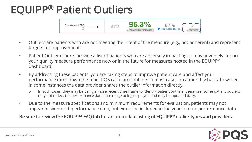#### EQUIPP® Patient Outliers



- Outliers are patients who are not meeting the intent of the measure (e.g., not adherent) and represent targets for improvement.
- Patient Outlier reports provide a list of patients who are adversely impacting or may adversely impact your quality measure performance now or in the future for measures hosted in the EQUIPP® dashboard.
- By addressing these patients, you are taking steps to improve patient care and affect your performance rates down the road. PQS calculates outliers in most cases on a monthly basis, however, in some instances the data provider shares the outlier information directly.
	- o In such cases, they may be using a more recent time frame to identify patient outliers, therefore, some patient outliers may not reflect the performance data date range being displayed and may be updated daily.
- Due to the measure specifications and minimum requirements for evaluation, patients may not appear in six-month performance data, but would be included in the year-to-date performance data.

Be sure to review the EQUIPP® FAQ tab for an up-to-date listing of EQUIPP® outlier types and providers.

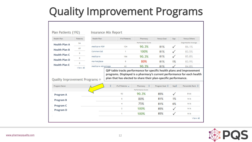#### Quality Improvement Programs

| Health Plan                                                                                                                          | <b>Patients</b> | Health Plan        | # of Patients                                                                                                                                                                                                              | Pharmacy             | Versus Goal    | Gap                | Versus Others             |
|--------------------------------------------------------------------------------------------------------------------------------------|-----------------|--------------------|----------------------------------------------------------------------------------------------------------------------------------------------------------------------------------------------------------------------------|----------------------|----------------|--------------------|---------------------------|
| <b>Health Plan A</b><br><b>Health Plan B</b><br><b>Health Plan C</b><br><b>Health Plan D</b><br><b>Health Plan E</b>                 | 94              |                    | Performance Score<br>Organization Average                                                                                                                                                                                  |                      |                |                    |                           |
|                                                                                                                                      | 69              | Medicare PDP       | 124                                                                                                                                                                                                                        | 90.3%                | 81%            | $\checkmark$       | 86.1%                     |
|                                                                                                                                      | 9               | Commercial         | 1<br>186                                                                                                                                                                                                                   | 100%<br>90.3%<br>80% | 81%<br>81%     | $\checkmark$<br>1% | 83.5%<br>85.8%<br>83.9%   |
|                                                                                                                                      | 8<br>8          | Medicare           |                                                                                                                                                                                                                            |                      |                |                    |                           |
|                                                                                                                                      |                 | Marketplace        | 5                                                                                                                                                                                                                          |                      | 81%            |                    |                           |
|                                                                                                                                      |                 |                    |                                                                                                                                                                                                                            |                      |                |                    |                           |
|                                                                                                                                      | View All        | Medicare Advantage | 62<br>QIP table tracks performance for specific health plans and improvement<br>programs. Displayed is a pharmacy's current performance for each health<br>plan that has elected to share their plan-specific performance. | 90.3%                | 81%            |                    | 84.8%                     |
|                                                                                                                                      |                 |                    | # of Patients =                                                                                                                                                                                                            | Pharmacy             |                |                    |                           |
|                                                                                                                                      |                 |                    |                                                                                                                                                                                                                            | Performance Score    | Program Goal + | $Gap^A$            |                           |
|                                                                                                                                      |                 |                    | 93                                                                                                                                                                                                                         | 90.3%                | 85%            |                    | Percentile Rank C<br>51st |
|                                                                                                                                      |                 |                    | 5                                                                                                                                                                                                                          | 80%                  | 81%            | 1%                 | N/A                       |
|                                                                                                                                      |                 |                    | 4                                                                                                                                                                                                                          | 75%                  | 81%            | 6%                 | N/A                       |
| Quality Improvement Programs $\odot$<br>Program Name<br><b>Program A</b><br><b>Program B</b><br><b>Program C</b><br><b>Program D</b> |                 |                    | $\overline{2}$                                                                                                                                                                                                             | 100%                 | 85%            | $\checkmark$       | N/A                       |

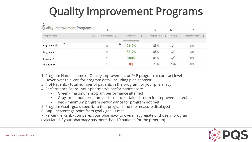### Quality Improvement Programs

| 1<br>Quality Improvement Programs ® | $\overline{\mathbf{3}}$ |                   | 5                   | 6          |                 |
|-------------------------------------|-------------------------|-------------------|---------------------|------------|-----------------|
| Program Name                        | # of Patients $\sqrt{}$ | Pharmacy          | Program Goal $\div$ | Gap $\div$ | Percentile Rank |
|                                     |                         | Performance Score |                     |            |                 |
| 2<br>Program A                      | 4<br>62                 | 91.9%             | 85%                 |            | 61st            |
| Program B                           | 17                      | 88.2%             | 85%                 |            | 29th            |
| Program C                           | 5                       | 100%              | 81%                 |            | N/A             |
| Program D                           |                         | 0%                | 73%                 | 73%        | N/A             |

1. Program Name - name of Quality Improvement or P4P program at contract level

2. Hover over this icon for program detail including plan sponsor

3. # of Patients - total number of patients in the program for your pharmacy

4. Performance Score - your pharmacy's performance score

- Green maximum program performance attained
- Gray minimum program performance attained, room for improvement exists
- Red minimum program performance for program not met
- 5. Program Goal goals specific to that program and the measure displayed

6. Gap - percentage point from goal / goal is met

7. Percentile Rank - compares your pharmacy to overall aggregate of those in program (calculated if your pharmacy has more than 10 patients for the program)